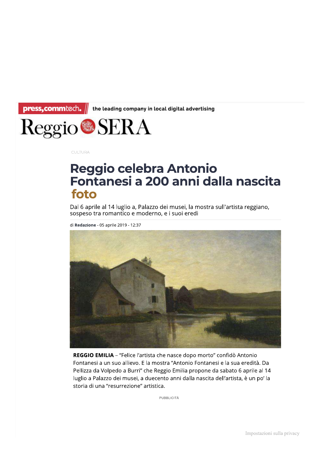

## Fontanesi a 200 anni dalla nascita foto

Dal 6 aprile al 14 luglio a, Palazzo dei musei, la mostra sull'artista reggiano, sospeso tra romantico e moderno, e i suoi eredi

di **Redazione** - 05 aprile 2019 - 12:37



**REGGIO EMILIA –** "Felice l'artista che nasce dopo morto" confido Antonio Fontanesi a un suo allievo. E la mostra "Antonio Fontanesi e la sua eredita. Da Pellizza da Volpedo a Burri<sup>..</sup> che Reggio Emilia propone da sabato 6 aprile al 14 lugilo a Palazzo del musel, a quecento anni dalla hascita dell'artista, e un po' la storia di una "resurrezione" artistica.

PUBBLICITÀ